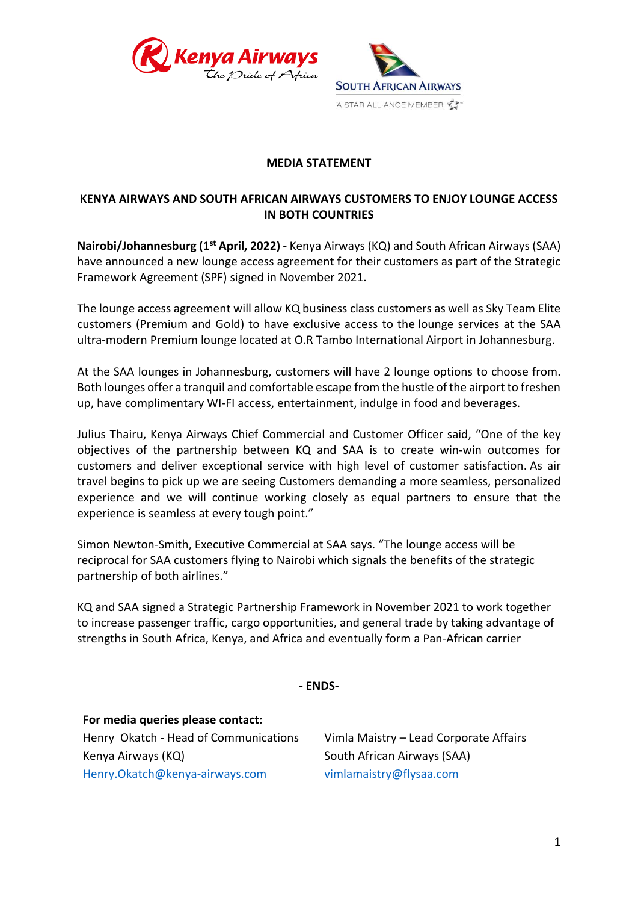



## **MEDIA STATEMENT**

# **KENYA AIRWAYS AND SOUTH AFRICAN AIRWAYS CUSTOMERS TO ENJOY LOUNGE ACCESS IN BOTH COUNTRIES**

**Nairobi/Johannesburg (1st April, 2022) -** Kenya Airways (KQ) and South African Airways (SAA) have announced a new lounge access agreement for their customers as part of the Strategic Framework Agreement (SPF) signed in November 2021.

The lounge access agreement will allow KQ business class customers as well as Sky Team Elite customers (Premium and Gold) to have exclusive access to the lounge services at the SAA ultra-modern Premium lounge located at O.R Tambo International Airport in Johannesburg.

At the SAA lounges in Johannesburg, customers will have 2 lounge options to choose from. Both lounges offer a tranquil and comfortable escape from the hustle of the airport to freshen up, have complimentary WI-FI access, entertainment, indulge in food and beverages.

Julius Thairu, Kenya Airways Chief Commercial and Customer Officer said, "One of the key objectives of the partnership between KQ and SAA is to create win-win outcomes for customers and deliver exceptional service with high level of customer satisfaction. As air travel begins to pick up we are seeing Customers demanding a more seamless, personalized experience and we will continue working closely as equal partners to ensure that the experience is seamless at every tough point."

Simon Newton-Smith, Executive Commercial at SAA says. "The lounge access will be reciprocal for SAA customers flying to Nairobi which signals the benefits of the strategic partnership of both airlines."

KQ and SAA signed a Strategic Partnership Framework in November 2021 to work together to increase passenger traffic, cargo opportunities, and general trade by taking advantage of strengths in South Africa, Kenya, and Africa and eventually form a Pan-African carrier

### **- ENDS-**

**For media queries please contact:** Henry Okatch - Head of Communications Kenya Airways (KQ) [Henry.Okatch@kenya-airways.com](mailto:Henry.Okatch@kenya-airways.com)

Vimla Maistry – Lead Corporate Affairs South African Airways (SAA) [vimlamaistry@flysaa.com](mailto:vimlamaistry@flysaa.com)